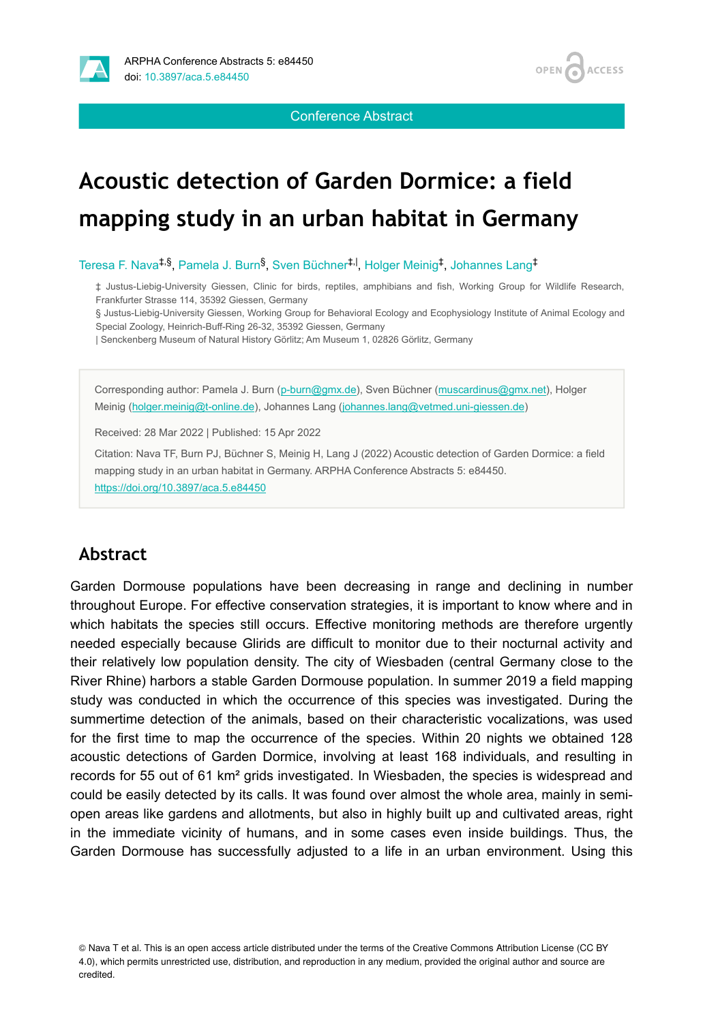

Conference Abstract

**OPEN** 

**ACCESS** 

# **Acoustic detection of Garden Dormice: a field mapping study in an urban habitat in Germany**

Teresa F. Nava<sup>‡,§</sup>, Pamela J. Burn<sup>§</sup>, Sven Büchner<sup>‡, I</sup>, Holger Meinig<sup>‡</sup>, Johannes Lang<sup>‡</sup>

‡ Justus-Liebig-University Giessen, Clinic for birds, reptiles, amphibians and fish, Working Group for Wildlife Research, Frankfurter Strasse 114, 35392 Giessen, Germany

§ Justus-Liebig-University Giessen, Working Group for Behavioral Ecology and Ecophysiology Institute of Animal Ecology and Special Zoology, Heinrich-Buff-Ring 26-32, 35392 Giessen, Germany

| Senckenberg Museum of Natural History Görlitz; Am Museum 1, 02826 Görlitz, Germany

Corresponding author: Pamela J. Burn ([p-burn@gmx.de\)](mailto:p-burn@gmx.de), Sven Büchner [\(muscardinus@gmx.net](mailto:muscardinus@gmx.net)), Holger Meinig ([holger.meinig@t-online.de](mailto:holger.meinig@t-online.de)), Johannes Lang ([johannes.lang@vetmed.uni-giessen.de\)](mailto:johannes.lang@vetmed.uni-giessen.de)

Received: 28 Mar 2022 | Published: 15 Apr 2022

Citation: Nava TF, Burn PJ, Büchner S, Meinig H, Lang J (2022) Acoustic detection of Garden Dormice: a field mapping study in an urban habitat in Germany. ARPHA Conference Abstracts 5: e84450. <https://doi.org/10.3897/aca.5.e84450>

## **Abstract**

Garden Dormouse populations have been decreasing in range and declining in number throughout Europe. For effective conservation strategies, it is important to know where and in which habitats the species still occurs. Effective monitoring methods are therefore urgently needed especially because Glirids are difficult to monitor due to their nocturnal activity and their relatively low population density. The city of Wiesbaden (central Germany close to the River Rhine) harbors a stable Garden Dormouse population. In summer 2019 a field mapping study was conducted in which the occurrence of this species was investigated. During the summertime detection of the animals, based on their characteristic vocalizations, was used for the first time to map the occurrence of the species. Within 20 nights we obtained 128 acoustic detections of Garden Dormice, involving at least 168 individuals, and resulting in records for 55 out of 61 km² grids investigated. In Wiesbaden, the species is widespread and could be easily detected by its calls. It was found over almost the whole area, mainly in semiopen areas like gardens and allotments, but also in highly built up and cultivated areas, right in the immediate vicinity of humans, and in some cases even inside buildings. Thus, the Garden Dormouse has successfully adjusted to a life in an urban environment. Using this

© Nava T et al. This is an open access article distributed under the terms of the Creative Commons Attribution License (CC BY 4.0), which permits unrestricted use, distribution, and reproduction in any medium, provided the original author and source are credited.